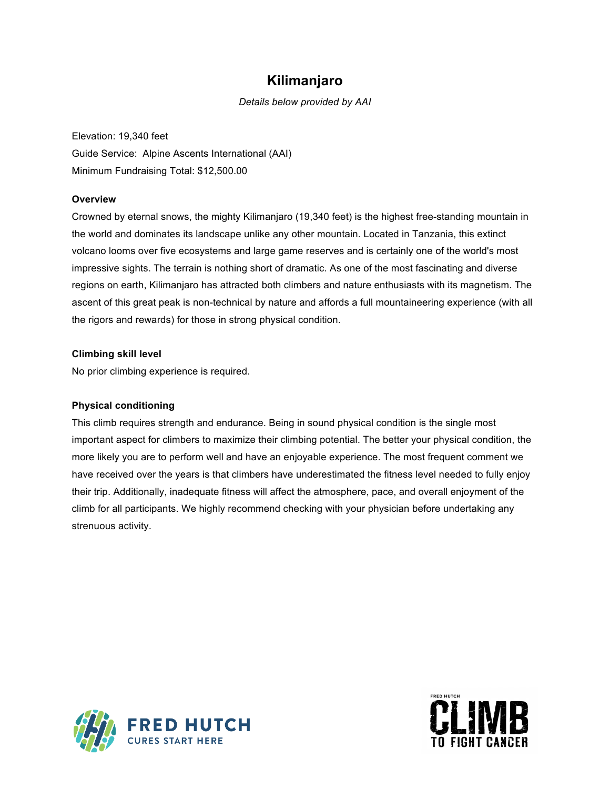## **Kilimanjaro**

*Details below provided by AAI*

Elevation: 19,340 feet Guide Service: Alpine Ascents International (AAI) Minimum Fundraising Total: \$12,500.00

### **Overview**

Crowned by eternal snows, the mighty Kilimanjaro (19,340 feet) is the highest free-standing mountain in the world and dominates its landscape unlike any other mountain. Located in Tanzania, this extinct volcano looms over five ecosystems and large game reserves and is certainly one of the world's most impressive sights. The terrain is nothing short of dramatic. As one of the most fascinating and diverse regions on earth, Kilimanjaro has attracted both climbers and nature enthusiasts with its magnetism. The ascent of this great peak is non-technical by nature and affords a full mountaineering experience (with all the rigors and rewards) for those in strong physical condition.

### **Climbing skill level**

No prior climbing experience is required.

### **Physical conditioning**

This climb requires strength and endurance. Being in sound physical condition is the single most important aspect for climbers to maximize their climbing potential. The better your physical condition, the more likely you are to perform well and have an enjoyable experience. The most frequent comment we have received over the years is that climbers have underestimated the fitness level needed to fully enjoy their trip. Additionally, inadequate fitness will affect the atmosphere, pace, and overall enjoyment of the climb for all participants. We highly recommend checking with your physician before undertaking any strenuous activity.



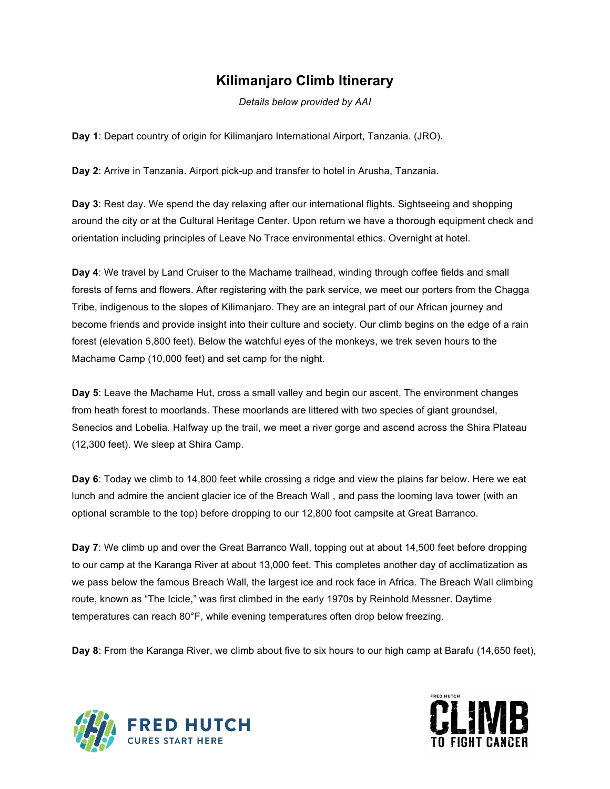# **Kilimanjaro Climb Itinerary**

*Details below provided by AAI*

**Day 1**: Depart country of origin for Kilimanjaro International Airport, Tanzania. (JRO).

**Day 2**: Arrive in Tanzania. Airport pick-up and transfer to hotel in Arusha, Tanzania.

**Day 3**: Rest day. We spend the day relaxing after our international flights. Sightseeing and shopping around the city or at the Cultural Heritage Center. Upon return we have a thorough equipment check and orientation including principles of Leave No Trace environmental ethics. Overnight at hotel.

**Day 4**: We travel by Land Cruiser to the Machame trailhead, winding through coffee fields and small forests of ferns and flowers. After registering with the park service, we meet our porters from the Chagga Tribe, indigenous to the slopes of Kilimanjaro. They are an integral part of our African journey and become friends and provide insight into their culture and society. Our climb begins on the edge of a rain forest (elevation 5,800 feet). Below the watchful eyes of the monkeys, we trek seven hours to the Machame Camp (10,000 feet) and set camp for the night.

**Day 5**: Leave the Machame Hut, cross a small valley and begin our ascent. The environment changes from heath forest to moorlands. These moorlands are littered with two species of giant groundsel, Senecios and Lobelia. Halfway up the trail, we meet a river gorge and ascend across the Shira Plateau (12,300 feet). We sleep at Shira Camp.

**Day 6**: Today we climb to 14,800 feet while crossing a ridge and view the plains far below. Here we eat lunch and admire the ancient glacier ice of the Breach Wall , and pass the looming lava tower (with an optional scramble to the top) before dropping to our 12,800 foot campsite at Great Barranco.

**Day 7**: We climb up and over the Great Barranco Wall, topping out at about 14,500 feet before dropping to our camp at the Karanga River at about 13,000 feet. This completes another day of acclimatization as we pass below the famous Breach Wall, the largest ice and rock face in Africa. The Breach Wall climbing route, known as "The Icicle," was first climbed in the early 1970s by Reinhold Messner. Daytime temperatures can reach 80°F, while evening temperatures often drop below freezing.

**Day 8**: From the Karanga River, we climb about five to six hours to our high camp at Barafu (14,650 feet),